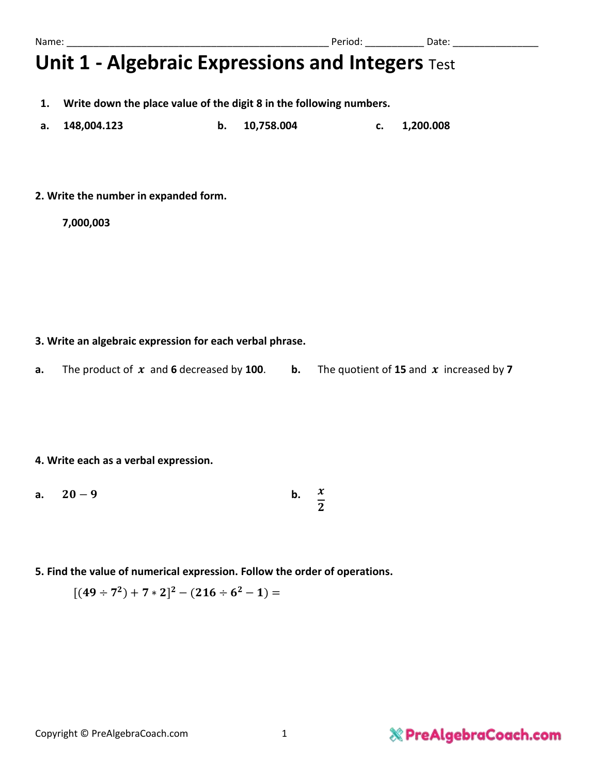- **1. Write down the place value of the digit 8 in the following numbers.**
- **a. 148,004.123 b. 10,758.004 c. 1,200.008**
- **2. Write the number in expanded form.**

**7,000,003**

#### **3. Write an algebraic expression for each verbal phrase.**

**a.** The product of  $x$  and **6** decreased by **100**. **b.** The quotient of **15** and  $x$  increased by **7** 

#### **4. Write each as a verbal expression.**

- **a.**  $20-9$  **b.**  $\boldsymbol{\chi}$  $\mathbf{z}$
- **5. Find the value of numerical expression. Follow the order of operations.**
	- $[(49 \div 7^2) + 7 * 2]^2 (216 \div 6^2 1) =$

### **& PreAlgebraCoach.com**

Name: \_\_\_\_\_\_\_\_\_\_\_\_\_\_\_\_\_\_\_\_\_\_\_\_\_\_\_\_\_\_\_\_\_\_\_\_\_\_\_\_\_\_\_\_\_\_\_\_\_ Period: \_\_\_\_\_\_\_\_\_\_\_ Date: \_\_\_\_\_\_\_\_\_\_\_\_\_\_\_\_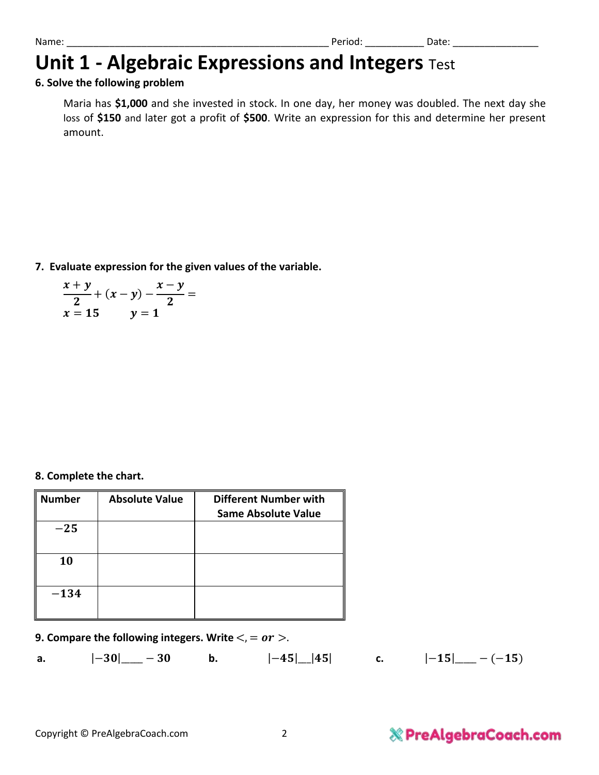#### **6. Solve the following problem**

Maria has **\$1,000** and she invested in stock. In one day, her money was doubled. The next day she loss of **\$150** and later got a profit of **\$500**. Write an expression for this and determine her present amount.

**7. Evaluate expression for the given values of the variable.**

$$
\frac{x+y}{2} + (x-y) - \frac{x-y}{2} = x = 15 \qquad y = 1
$$

**8. Complete the chart.**

| <b>Number</b> | <b>Absolute Value</b> | <b>Different Number with</b> |
|---------------|-----------------------|------------------------------|
|               |                       | <b>Same Absolute Value</b>   |
| $-25$         |                       |                              |
| 10            |                       |                              |
| $-134$        |                       |                              |

#### **9. Compare the following integers. Write**  $\lt$ , = or  $\gt$ .

**a.**  $|-30|$  − 30 **b.**  $|-45|$  |45| **c.**  $|-15|$  − (−15)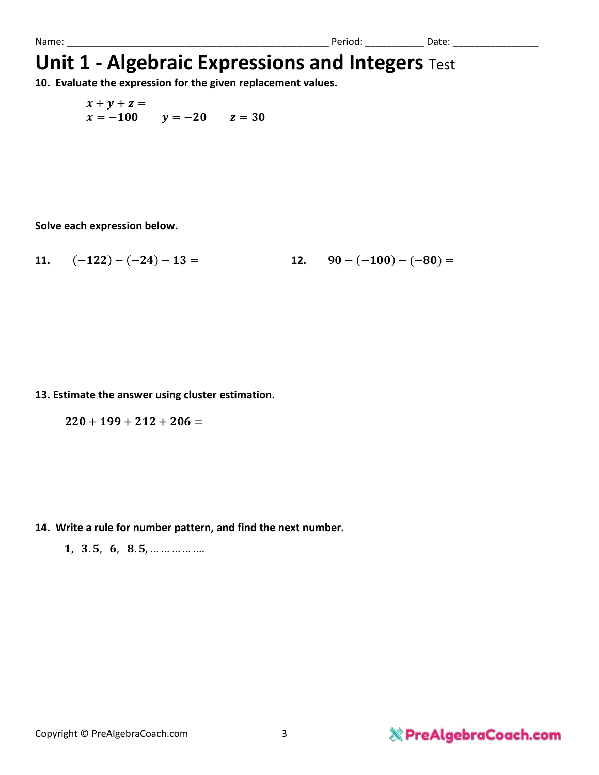**10. Evaluate the expression for the given replacement values.**

 $x + y + z =$  $x = -100$   $y = -20$   $z = 30$ 

**Solve each expression below.**

11. 
$$
(-122)-(-24)-13=
$$
  
12.  $90-(-100)-(-80)=$ 

**13. Estimate the answer using cluster estimation.**

 $220 + 199 + 212 + 206 =$ 

**14. Write a rule for number pattern, and find the next number.**

1, 3.5, 6, 8.5, … … … … …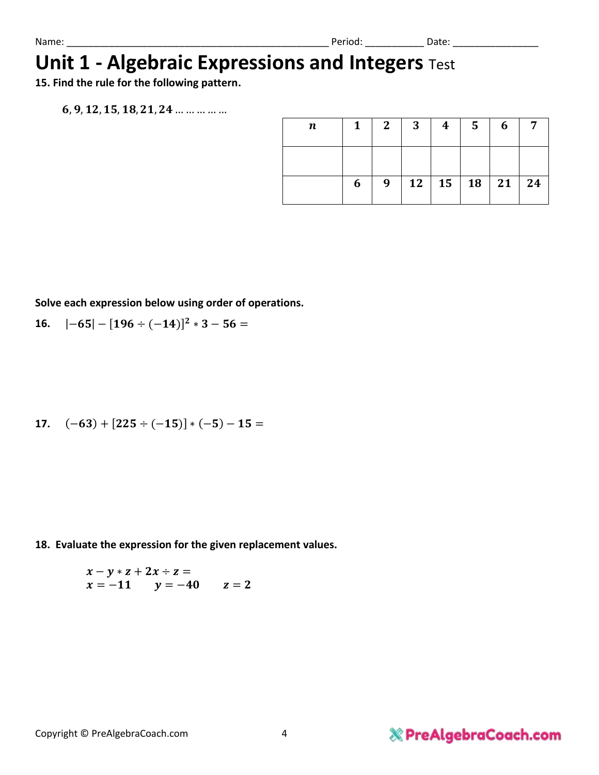**15. Find the rule for the following pattern.**

 $6, 9, 12, 15, 18, 21, 24$  ... ... ... ... ...

| n | 1 | $2 \square$ | $\mathbf{3}$ | $\overline{4}$ | 5 <sub>5</sub> | 6                      |  |
|---|---|-------------|--------------|----------------|----------------|------------------------|--|
|   |   |             |              |                |                |                        |  |
|   | 6 | 9           |              |                |                | 12   15   18   21   24 |  |

**Solve each expression below using order of operations.** 

**16.**  $|-65| - [196 \div (-14)]^2 * 3 - 56 =$ 

17. 
$$
(-63) + [225 \div (-15)] \times (-5) - 15 =
$$

**18. Evaluate the expression for the given replacement values.**

$$
x - y * z + 2x \div z =\n x = -11 \qquad y = -40 \qquad z = 2
$$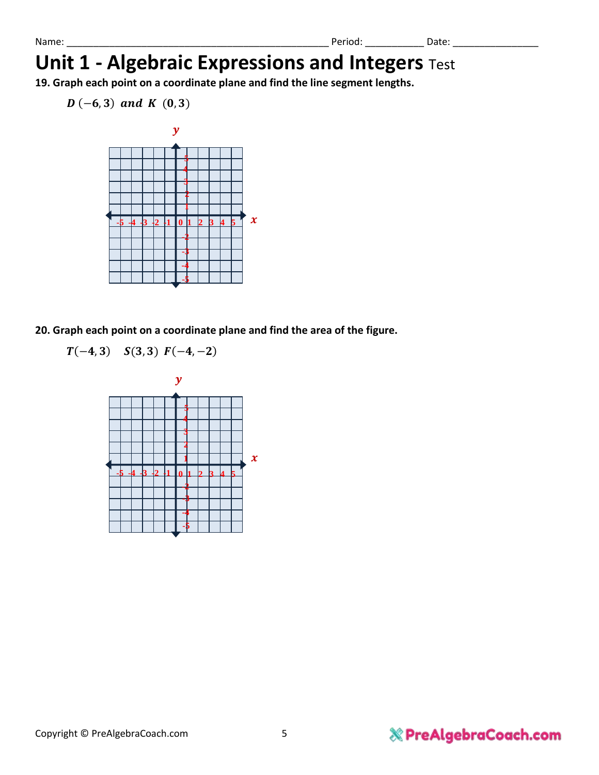**19. Graph each point on a coordinate plane and find the line segment lengths.**

 $D(-6, 3)$  and K  $(0, 3)$ 



**20. Graph each point on a coordinate plane and find the area of the figure.**

 $T(-4, 3)$   $S(3, 3)$   $F(-4, -2)$ 

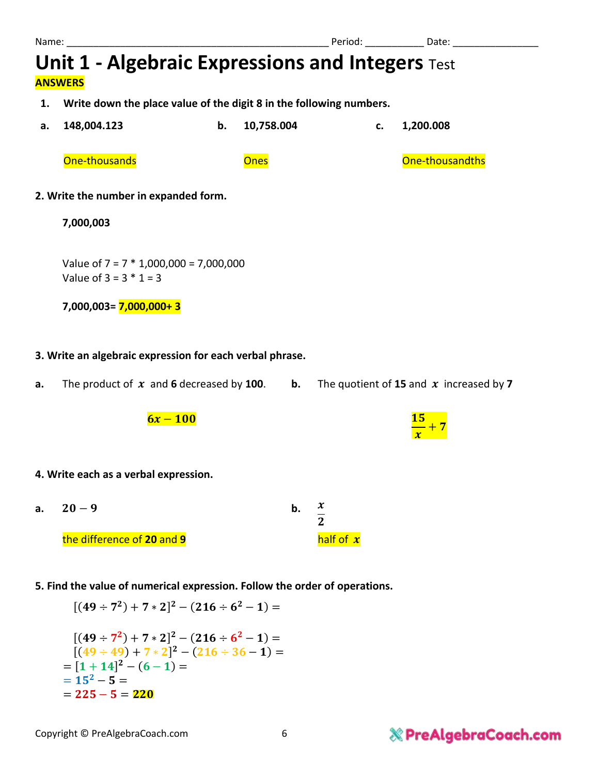- **1. Write down the place value of the digit 8 in the following numbers.**
- **a. 148,004.123 b. 10,758.004 c. 1,200.008**

One-thousands Ones One-thousandths

#### **2. Write the number in expanded form.**

#### **7,000,003**

Value of 7 = 7 \* 1,000,000 = 7,000,000 Value of  $3 = 3 * 1 = 3$ 

**7,000,003= 7,000,000+ 3**

#### **3. Write an algebraic expression for each verbal phrase.**

**a.** The product of  $x$  and **6** decreased by **100**. **b.** The quotient of **15** and  $x$  increased by **7** 

 $6x-100$ 

#### **4. Write each as a verbal expression.**

- **a.**  $20-9$  **b.**  $\boldsymbol{\chi}$  $\mathbf{z}$  $\frac{1}{2}$  the difference of 20 and 9 **half of x**
- **5. Find the value of numerical expression. Follow the order of operations.**

$$
[(49 \div 7^2) + 7 * 2]^2 - (216 \div 6^2 - 1) =
$$
\n
$$
[(49 \div 7^2) + 7 * 2]^2 - (216 \div 6^2 - 1) =
$$
\n
$$
[(49 \div 49) + 7 * 2]^2 - (216 \div 36 - 1) =
$$
\n
$$
= [1 + 14]^2 - (6 - 1) =
$$
\n
$$
= 15^2 - 5 =
$$
\n
$$
= 225 - 5 = 220
$$

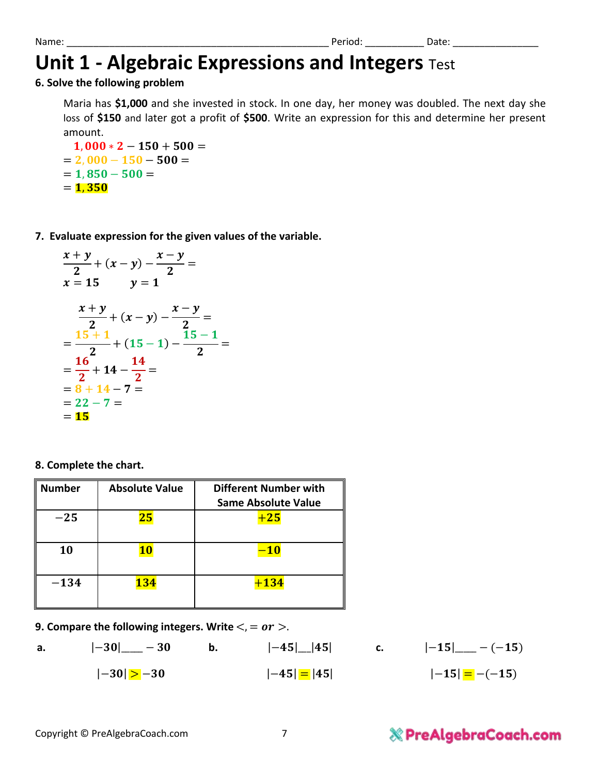#### **6. Solve the following problem**

Maria has **\$1,000** and she invested in stock. In one day, her money was doubled. The next day she loss of **\$150** and later got a profit of **\$500**. Write an expression for this and determine her present amount.

 $1.000 * 2 - 150 + 500 =$  $= 2,000 - 150 - 500 =$  $= 1,850 - 500 =$  $= 1,350$ 

**7. Evaluate expression for the given values of the variable.**

$$
\frac{x+y}{2} + (x-y) - \frac{x-y}{2} =
$$
\n
$$
x = 15 \qquad y = 1
$$
\n
$$
\frac{x+y}{2} + (x-y) - \frac{x-y}{2} =
$$
\n
$$
= \frac{15+1}{2} + (15-1) - \frac{15-1}{2} =
$$
\n
$$
= \frac{16}{2} + 14 - \frac{14}{2} =
$$
\n
$$
= 8 + 14 - 7 =
$$
\n
$$
= 22 - 7 =
$$
\n
$$
= 15
$$

**8. Complete the chart.**

| <b>Number</b> | <b>Absolute Value</b> | <b>Different Number with</b><br><b>Same Absolute Value</b> |
|---------------|-----------------------|------------------------------------------------------------|
| $-25$         | 25                    | $+25$                                                      |
| 10            | <b>10</b>             | $-10$                                                      |
| $-134$        | <b>134</b>            | $+134$                                                     |

**9. Compare the following integers. Write**  $\lt$ , = or  $\gt$ .

**a.**  $|-30|$   $-30$  **b.**  $|-45|$  |45| **c.**  $|-15|$   $-(-15)$  $|-30| > -30$   $|-45| = |45|$   $|-15| = -(-15)$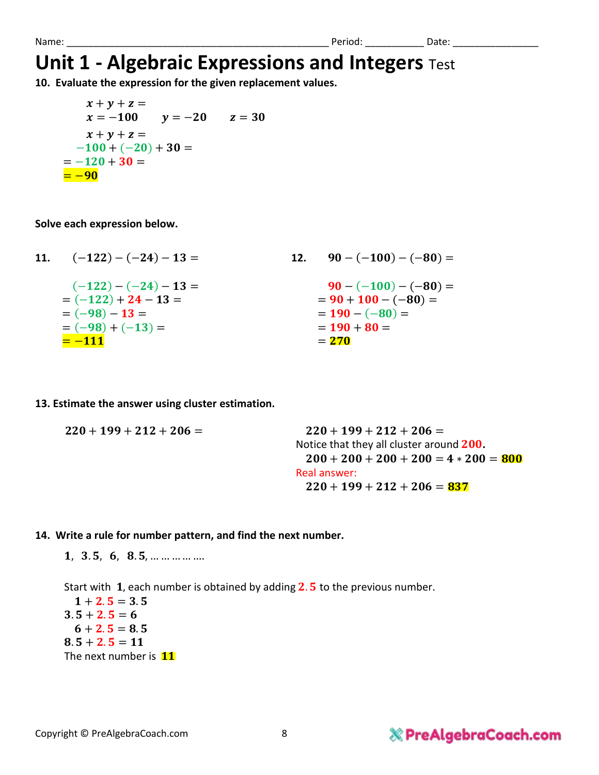**10. Evaluate the expression for the given replacement values.**

$$
x + y + z =
$$
  
\n
$$
x = -100 \t y = -20 \t z = 30
$$
  
\n
$$
x + y + z =
$$
  
\n
$$
-100 + (-20) + 30 =
$$
  
\n
$$
= -120 + 30 =
$$
  
\n
$$
= -90
$$

**Solve each expression below.**

| 11. $(-122) - (-24) - 13 =$ | 12. $90 - (-100) - (-80) =$ |
|-----------------------------|-----------------------------|
| $(-122) - (-24) - 13 =$     | $90 - (-100) - (-80) =$     |
| $= (-122) + 24 - 13 =$      | $= 90 + 100 - (-80) =$      |
| $= (-98) - 13 =$            | $= 190 - (-80) =$           |
| $= (-98) + (-13) =$         | $= 190 + 80 =$              |
| $=-111$                     | $= 270$                     |

**13. Estimate the answer using cluster estimation.**

| $220 + 199 + 212 + 206 =$ | $220 + 199 + 212 + 206 =$                |
|---------------------------|------------------------------------------|
|                           | Notice that they all cluster around 200. |
|                           | $200 + 200 + 200 + 200 = 4 * 200 = 800$  |
|                           | Real answer:                             |
|                           | $220 + 199 + 212 + 206 = 837$            |
|                           |                                          |

#### **14. Write a rule for number pattern, and find the next number.**

 $1, 3.5, 6, 8.5, \dots \dots \dots \dots$ 

Start with 1, each number is obtained by adding  $2.5$  to the previous number.  $1 + 2.5 = 3.5$  $3.5 + 2.5 = 6$  $6 + 2.5 = 8.5$  $8.5 + 2.5 = 11$ The next number is 11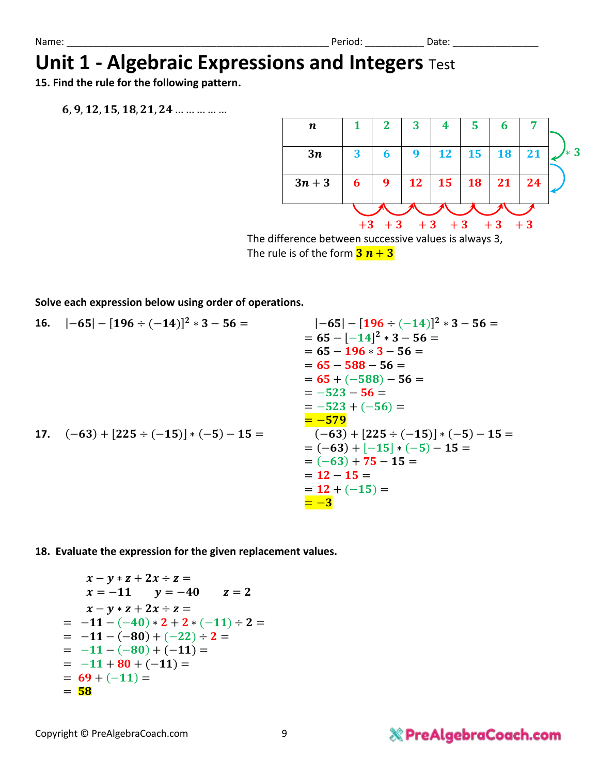**15. Find the rule for the following pattern.**

 $6, 9, 12, 15, 18, 21, 24$  ... ... ... ... ...



The rule is of the form  $3n + 3$ 

**Solve each expression below using order of operations.** 

16. 
$$
|-65| - [196 \div (-14)]^2 * 3 - 56 =
$$
  
\t\t\t\t $= 65 - [-14]^2 * 3 - 56 =$   
\t\t\t\t $= 65 - 196 * 3 - 56 =$   
\t\t\t\t $= 65 - 588 - 56 =$   
\t\t\t\t $= 65 + (-588) - 56 =$   
\t\t\t\t $= -523 - 56 =$   
\t\t\t\t $= -523 + (-56) =$   
\t\t\t\t $= -579$   
\t\t\t\t $= (-63) + [-15] * (-5) - 15 =$   
\t\t\t\t $= (-63) + 75 - 15 =$   
\t\t\t\t $= (23) + 75 - 15 =$   
\t\t\t\t $= 12 - 15 =$   
\t\t\t\t $= 12 + (-15) =$   
\t\t\t\t $= 12 + (-15) =$   
\t\t\t\t $= 12 + (-15) =$ 

**18. Evaluate the expression for the given replacement values.**

$$
x-y*z+2x+z=
$$
  
\n
$$
x=-11 \t y=-40 \t z=2
$$
  
\n
$$
x-y*z+2x+z=
$$
  
\n
$$
=-11-(-40)*2+2*(-11)+2=
$$
  
\n
$$
=-11-(-80)+(-22)+2=
$$
  
\n
$$
=-11-(-80)+(-11)=
$$
  
\n
$$
=-11+80+(-11)=
$$
  
\n
$$
=69+(-11)=
$$
  
\n
$$
=58
$$